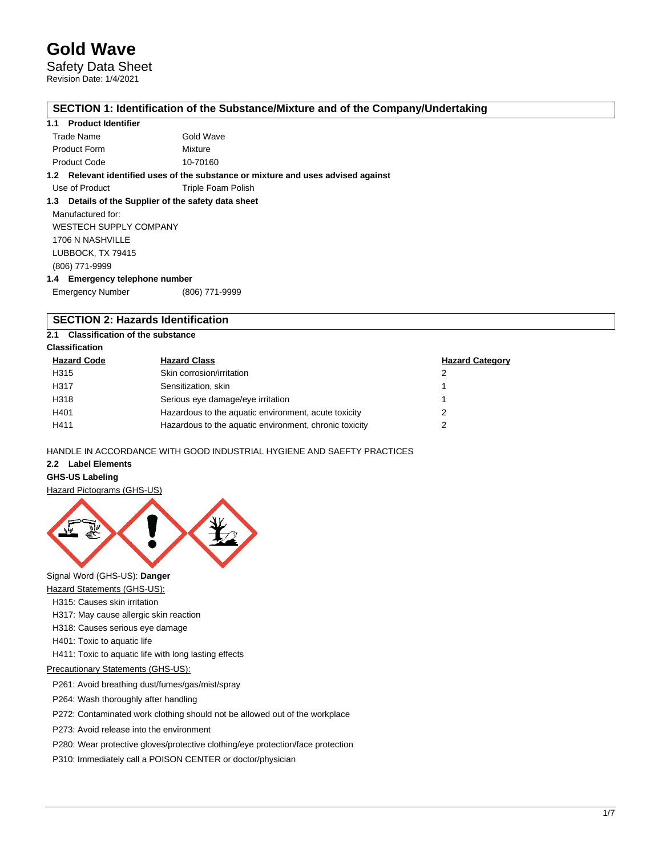Safety Data Sheet Revision Date: 1/4/2021

## **SECTION 1: Identification of the Substance/Mixture and of the Company/Undertaking**

### **1.1 Product Identifier**

| Trade Name          | Gold Wave |
|---------------------|-----------|
| <b>Product Form</b> | Mixture   |
| <b>Product Code</b> | 10-70160  |

**1.2 Relevant identified uses of the substance or mixture and uses advised against**

Use of Product Triple Foam Polish

## **1.3 Details of the Supplier of the safety data sheet**

Manufactured for: WESTECH SUPPLY COMPANY 1706 N NASHVILLE LUBBOCK, TX 79415 (806) 771-9999 **1.4 Emergency telephone number**

| <b>Emergency Number</b> | (806) 771-9999 |
|-------------------------|----------------|

## **SECTION 2: Hazards Identification**

## **2.1 Classification of the substance**

## **Classification**

| <b>Hazard Code</b> | <b>Hazard Class</b>                                    | <b>Hazard Category</b> |
|--------------------|--------------------------------------------------------|------------------------|
| H315               | Skin corrosion/irritation                              |                        |
| H317               | Sensitization, skin                                    |                        |
| H318               | Serious eye damage/eye irritation                      |                        |
| H401               | Hazardous to the aquatic environment, acute toxicity   |                        |
| H411               | Hazardous to the aquatic environment, chronic toxicity | າ                      |

HANDLE IN ACCORDANCE WITH GOOD INDUSTRIAL HYGIENE AND SAEFTY PRACTICES

## **2.2 Label Elements**

### **GHS-US Labeling**

Hazard Pictograms (GHS-US)



Signal Word (GHS-US): **Danger**

- Hazard Statements (GHS-US):
- H315: Causes skin irritation
- H317: May cause allergic skin reaction
- H318: Causes serious eye damage
- H401: Toxic to aquatic life
- H411: Toxic to aquatic life with long lasting effects

## Precautionary Statements (GHS-US):

P261: Avoid breathing dust/fumes/gas/mist/spray

P264: Wash thoroughly after handling

P272: Contaminated work clothing should not be allowed out of the workplace

P273: Avoid release into the environment

P280: Wear protective gloves/protective clothing/eye protection/face protection

P310: Immediately call a POISON CENTER or doctor/physician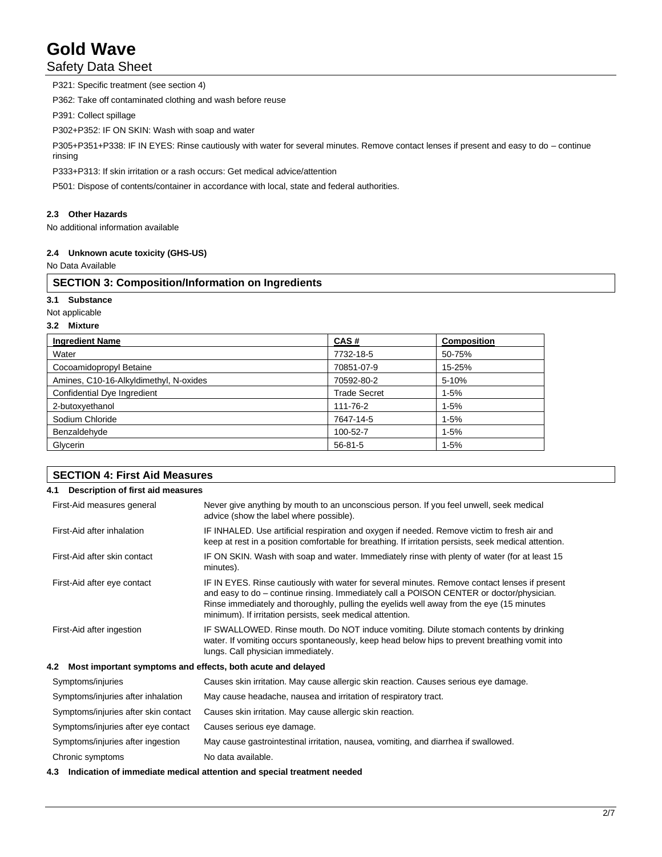## Safety Data Sheet

P321: Specific treatment (see section 4) P362: Take off contaminated clothing and wash before reuse P391: Collect spillage P302+P352: IF ON SKIN: Wash with soap and water P305+P351+P338: IF IN EYES: Rinse cautiously with water for several minutes. Remove contact lenses if present and easy to do – continue rinsing P333+P313: If skin irritation or a rash occurs: Get medical advice/attention

P501: Dispose of contents/container in accordance with local, state and federal authorities.

## **2.3 Other Hazards**

No additional information available

## **2.4 Unknown acute toxicity (GHS-US)**

No Data Available

## **SECTION 3: Composition/Information on Ingredients**

**3.1 Substance**

Not applicable

## **3.2 Mixture**

| <b>Ingredient Name</b>                 | CAS#                | <b>Composition</b> |
|----------------------------------------|---------------------|--------------------|
| Water                                  | 7732-18-5           | 50-75%             |
| Cocoamidopropyl Betaine                | 70851-07-9          | 15-25%             |
| Amines, C10-16-Alkyldimethyl, N-oxides | 70592-80-2          | 5-10%              |
| Confidential Dye Ingredient            | <b>Trade Secret</b> | $1 - 5%$           |
| 2-butoxyethanol                        | 111-76-2            | $1 - 5%$           |
| Sodium Chloride                        | 7647-14-5           | $1 - 5%$           |
| Benzaldehyde                           | 100-52-7            | $1 - 5%$           |
| Glycerin                               | $56 - 81 - 5$       | $1 - 5%$           |

| <b>SECTION 4: First Aid Measures</b>                               |                                                                                                                                                                                                                                                                                                                                                    |
|--------------------------------------------------------------------|----------------------------------------------------------------------------------------------------------------------------------------------------------------------------------------------------------------------------------------------------------------------------------------------------------------------------------------------------|
| Description of first aid measures<br>4.1                           |                                                                                                                                                                                                                                                                                                                                                    |
| First-Aid measures general                                         | Never give anything by mouth to an unconscious person. If you feel unwell, seek medical<br>advice (show the label where possible).                                                                                                                                                                                                                 |
| First-Aid after inhalation                                         | IF INHALED. Use artificial respiration and oxygen if needed. Remove victim to fresh air and<br>keep at rest in a position comfortable for breathing. If irritation persists, seek medical attention.                                                                                                                                               |
| First-Aid after skin contact                                       | IF ON SKIN. Wash with soap and water. Immediately rinse with plenty of water (for at least 15<br>minutes).                                                                                                                                                                                                                                         |
| First-Aid after eye contact                                        | IF IN EYES. Rinse cautiously with water for several minutes. Remove contact lenses if present<br>and easy to do - continue rinsing. Immediately call a POISON CENTER or doctor/physician.<br>Rinse immediately and thoroughly, pulling the eyelids well away from the eye (15 minutes<br>minimum). If irritation persists, seek medical attention. |
| First-Aid after ingestion                                          | IF SWALLOWED. Rinse mouth. Do NOT induce vomiting. Dilute stomach contents by drinking<br>water. If vomiting occurs spontaneously, keep head below hips to prevent breathing vomit into<br>lungs. Call physician immediately.                                                                                                                      |
| Most important symptoms and effects, both acute and delayed<br>4.2 |                                                                                                                                                                                                                                                                                                                                                    |
| Symptoms/injuries                                                  | Causes skin irritation. May cause allergic skin reaction. Causes serious eye damage.                                                                                                                                                                                                                                                               |
| Symptoms/injuries after inhalation                                 | May cause headache, nausea and irritation of respiratory tract.                                                                                                                                                                                                                                                                                    |
| Symptoms/injuries after skin contact                               | Causes skin irritation. May cause allergic skin reaction.                                                                                                                                                                                                                                                                                          |

Symptoms/injuries after eye contact Causes serious eye damage.

Symptoms/injuries after ingestion May cause gastrointestinal irritation, nausea, vomiting, and diarrhea if swallowed. Chronic symptoms No data available.

**4.3 Indication of immediate medical attention and special treatment needed**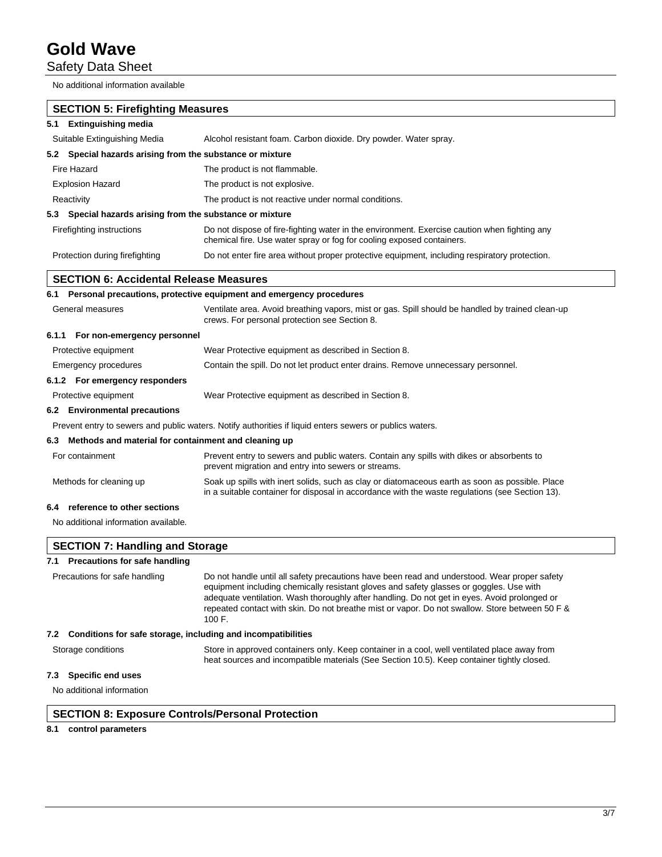Safety Data Sheet

No additional information available

| <b>SECTION 5: Firefighting Measures</b>                             |                                                                                                                                                                                                                                                                                                                                                                                                     |
|---------------------------------------------------------------------|-----------------------------------------------------------------------------------------------------------------------------------------------------------------------------------------------------------------------------------------------------------------------------------------------------------------------------------------------------------------------------------------------------|
| <b>Extinguishing media</b><br>5.1                                   |                                                                                                                                                                                                                                                                                                                                                                                                     |
| Suitable Extinguishing Media                                        | Alcohol resistant foam. Carbon dioxide. Dry powder. Water spray.                                                                                                                                                                                                                                                                                                                                    |
| Special hazards arising from the substance or mixture<br>5.2        |                                                                                                                                                                                                                                                                                                                                                                                                     |
| Fire Hazard                                                         | The product is not flammable.                                                                                                                                                                                                                                                                                                                                                                       |
| <b>Explosion Hazard</b>                                             | The product is not explosive.                                                                                                                                                                                                                                                                                                                                                                       |
| Reactivity                                                          | The product is not reactive under normal conditions.                                                                                                                                                                                                                                                                                                                                                |
| Special hazards arising from the substance or mixture<br>5.3        |                                                                                                                                                                                                                                                                                                                                                                                                     |
| Firefighting instructions                                           | Do not dispose of fire-fighting water in the environment. Exercise caution when fighting any<br>chemical fire. Use water spray or fog for cooling exposed containers.                                                                                                                                                                                                                               |
| Protection during firefighting                                      | Do not enter fire area without proper protective equipment, including respiratory protection.                                                                                                                                                                                                                                                                                                       |
| <b>SECTION 6: Accidental Release Measures</b>                       |                                                                                                                                                                                                                                                                                                                                                                                                     |
|                                                                     | 6.1 Personal precautions, protective equipment and emergency procedures                                                                                                                                                                                                                                                                                                                             |
| General measures                                                    | Ventilate area. Avoid breathing vapors, mist or gas. Spill should be handled by trained clean-up<br>crews. For personal protection see Section 8.                                                                                                                                                                                                                                                   |
| 6.1.1 For non-emergency personnel                                   |                                                                                                                                                                                                                                                                                                                                                                                                     |
| Protective equipment                                                | Wear Protective equipment as described in Section 8.                                                                                                                                                                                                                                                                                                                                                |
| Emergency procedures                                                | Contain the spill. Do not let product enter drains. Remove unnecessary personnel.                                                                                                                                                                                                                                                                                                                   |
| 6.1.2 For emergency responders                                      |                                                                                                                                                                                                                                                                                                                                                                                                     |
| Protective equipment                                                | Wear Protective equipment as described in Section 8.                                                                                                                                                                                                                                                                                                                                                |
| 6.2 Environmental precautions                                       |                                                                                                                                                                                                                                                                                                                                                                                                     |
|                                                                     | Prevent entry to sewers and public waters. Notify authorities if liquid enters sewers or publics waters.                                                                                                                                                                                                                                                                                            |
| Methods and material for containment and cleaning up<br>6.3         |                                                                                                                                                                                                                                                                                                                                                                                                     |
| For containment                                                     | Prevent entry to sewers and public waters. Contain any spills with dikes or absorbents to<br>prevent migration and entry into sewers or streams.                                                                                                                                                                                                                                                    |
| Methods for cleaning up                                             | Soak up spills with inert solids, such as clay or diatomaceous earth as soon as possible. Place<br>in a suitable container for disposal in accordance with the waste regulations (see Section 13).                                                                                                                                                                                                  |
| reference to other sections<br>6.4                                  |                                                                                                                                                                                                                                                                                                                                                                                                     |
| No additional information available.                                |                                                                                                                                                                                                                                                                                                                                                                                                     |
| <b>SECTION 7: Handling and Storage</b>                              |                                                                                                                                                                                                                                                                                                                                                                                                     |
| <b>Precautions for safe handling</b><br>7.1                         |                                                                                                                                                                                                                                                                                                                                                                                                     |
| Precautions for safe handling                                       | Do not handle until all safety precautions have been read and understood. Wear proper safety<br>equipment including chemically resistant gloves and safety glasses or goggles. Use with<br>adequate ventilation. Wash thoroughly after handling. Do not get in eyes. Avoid prolonged or<br>repeated contact with skin. Do not breathe mist or vapor. Do not swallow. Store between 50 F &<br>100 F. |
| Conditions for safe storage, including and incompatibilities<br>7.2 |                                                                                                                                                                                                                                                                                                                                                                                                     |
| Storage conditions                                                  | Store in approved containers only. Keep container in a cool, well ventilated place away from<br>heat sources and incompatible materials (See Section 10.5). Keep container tightly closed.                                                                                                                                                                                                          |
| <b>Specific end uses</b><br>7.3                                     |                                                                                                                                                                                                                                                                                                                                                                                                     |

No additional information

## **SECTION 8: Exposure Controls/Personal Protection**

## **8.1 control parameters**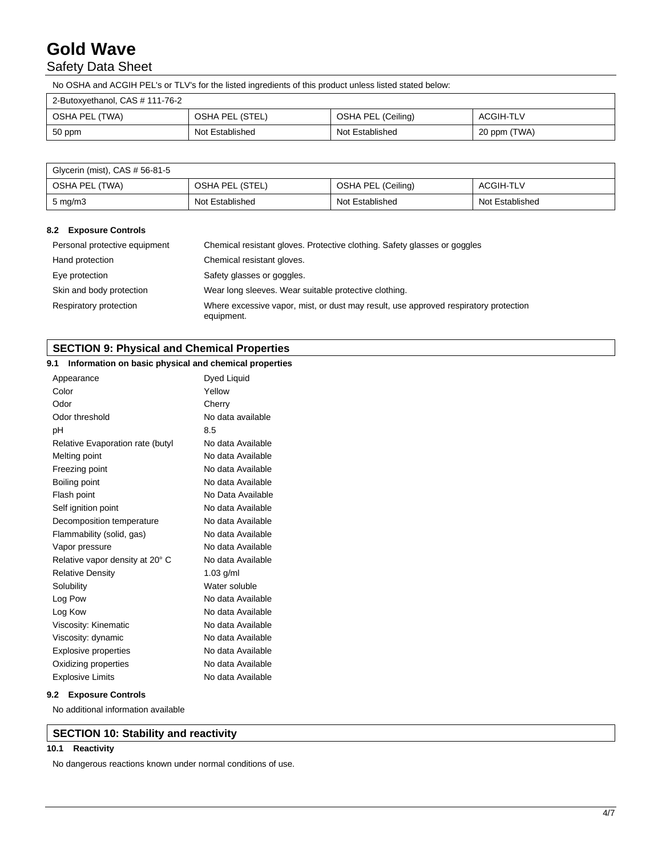## Safety Data Sheet

No OSHA and ACGIH PEL's or TLV's for the listed ingredients of this product unless listed stated below:

| 2-Butoxyethanol, CAS # 111-76-2 |                 |                    |              |
|---------------------------------|-----------------|--------------------|--------------|
| OSHA PEL (TWA)                  | OSHA PEL (STEL) | OSHA PEL (Ceiling) | ACGIH-TLV    |
| $50$ ppm                        | Not Established | Not Established    | 20 ppm (TWA) |

| Glycerin (mist), CAS # 56-81-5 |                 |                    |                 |
|--------------------------------|-----------------|--------------------|-----------------|
| OSHA PEL (TWA)                 | OSHA PEL (STEL) | OSHA PEL (Ceiling) | ACGIH-TLV       |
| $5 \text{ mg/m}$               | Not Established | Not Established    | Not Established |

### **8.2 Exposure Controls**

| Personal protective equipment | Chemical resistant gloves. Protective clothing. Safety glasses or goggles                          |
|-------------------------------|----------------------------------------------------------------------------------------------------|
| Hand protection               | Chemical resistant gloves.                                                                         |
| Eye protection                | Safety glasses or goggles.                                                                         |
| Skin and body protection      | Wear long sleeves. Wear suitable protective clothing.                                              |
| Respiratory protection        | Where excessive vapor, mist, or dust may result, use approved respiratory protection<br>equipment. |

## **SECTION 9: Physical and Chemical Properties**

## **9.1 Information on basic physical and chemical properties**

| Appearance                       | Dyed Liquid       |
|----------------------------------|-------------------|
| Color                            | Yellow            |
| Odor                             | Cherry            |
| Odor threshold                   | No data available |
| рH                               | 8.5               |
| Relative Evaporation rate (butyl | No data Available |
| Melting point                    | No data Available |
| Freezing point                   | No data Available |
| Boiling point                    | No data Available |
| Flash point                      | No Data Available |
| Self ignition point              | No data Available |
| Decomposition temperature        | No data Available |
| Flammability (solid, gas)        | No data Available |
| Vapor pressure                   | No data Available |
| Relative vapor density at 20° C  | No data Available |
| <b>Relative Density</b>          | $1.03$ g/ml       |
| Solubility                       | Water soluble     |
| Log Pow                          | No data Available |
| Log Kow                          | No data Available |
| Viscosity: Kinematic             | No data Available |
| Viscosity: dynamic               | No data Available |
| <b>Explosive properties</b>      | No data Available |
| Oxidizing properties             | No data Available |
| <b>Explosive Limits</b>          | No data Available |

### **9.2 Exposure Controls**

No additional information available

## **SECTION 10: Stability and reactivity**

## **10.1 Reactivity**

No dangerous reactions known under normal conditions of use.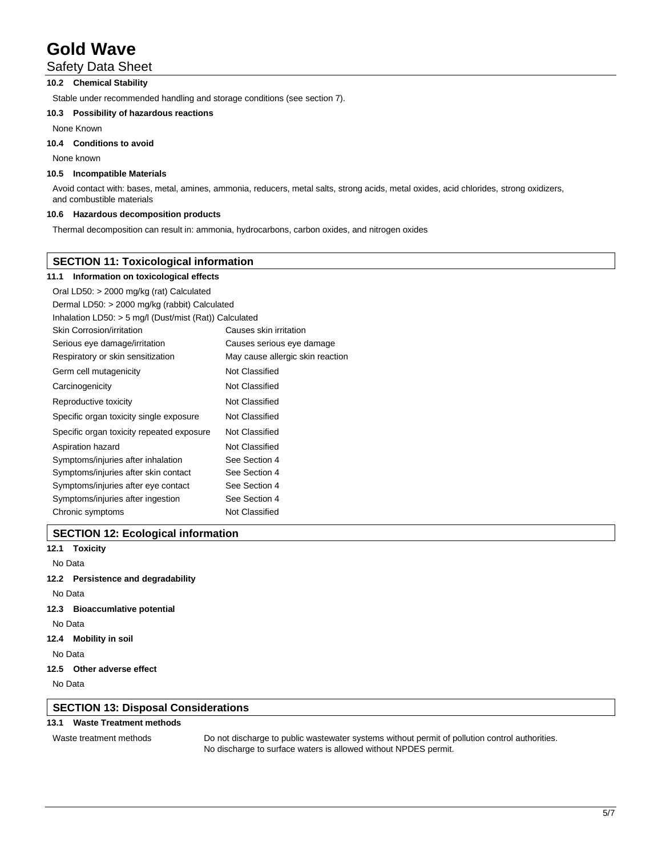## Safety Data Sheet

## **10.2 Chemical Stability**

Stable under recommended handling and storage conditions (see section 7).

### **10.3 Possibility of hazardous reactions**

None Known

## **10.4 Conditions to avoid**

None known

## **10.5 Incompatible Materials**

Avoid contact with: bases, metal, amines, ammonia, reducers, metal salts, strong acids, metal oxides, acid chlorides, strong oxidizers, and combustible materials

## **10.6 Hazardous decomposition products**

Thermal decomposition can result in: ammonia, hydrocarbons, carbon oxides, and nitrogen oxides

## **SECTION 11: Toxicological information**

### **11.1 Information on toxicological effects**

| Oral LD50: > 2000 mg/kg (rat) Calculated                 |                                  |  |
|----------------------------------------------------------|----------------------------------|--|
| Dermal LD50: > 2000 mg/kg (rabbit) Calculated            |                                  |  |
| Inhalation LD50: $>$ 5 mg/l (Dust/mist (Rat)) Calculated |                                  |  |
| Skin Corrosion/irritation                                | Causes skin irritation           |  |
| Serious eye damage/irritation                            | Causes serious eye damage        |  |
| Respiratory or skin sensitization                        | May cause allergic skin reaction |  |
| Germ cell mutagenicity                                   | Not Classified                   |  |
| Carcinogenicity                                          | Not Classified                   |  |
| Reproductive toxicity                                    | Not Classified                   |  |
| Specific organ toxicity single exposure                  | Not Classified                   |  |
| Specific organ toxicity repeated exposure                | Not Classified                   |  |
| Aspiration hazard                                        | Not Classified                   |  |
| Symptoms/injuries after inhalation                       | See Section 4                    |  |
| Symptoms/injuries after skin contact                     | See Section 4                    |  |
| Symptoms/injuries after eye contact                      | See Section 4                    |  |
| Symptoms/injuries after ingestion                        | See Section 4                    |  |
| Chronic symptoms                                         | Not Classified                   |  |

## **SECTION 12: Ecological information**

**12.1 Toxicity** No Data **12.2 Persistence and degradability** No Data

- **12.3 Bioaccumlative potential**
- No Data
- **12.4 Mobility in soil**

No Data

**12.5 Other adverse effect**

No Data

## **SECTION 13: Disposal Considerations**

## **13.1 Waste Treatment methods**

Waste treatment methods Do not discharge to public wastewater systems without permit of pollution control authorities. No discharge to surface waters is allowed without NPDES permit.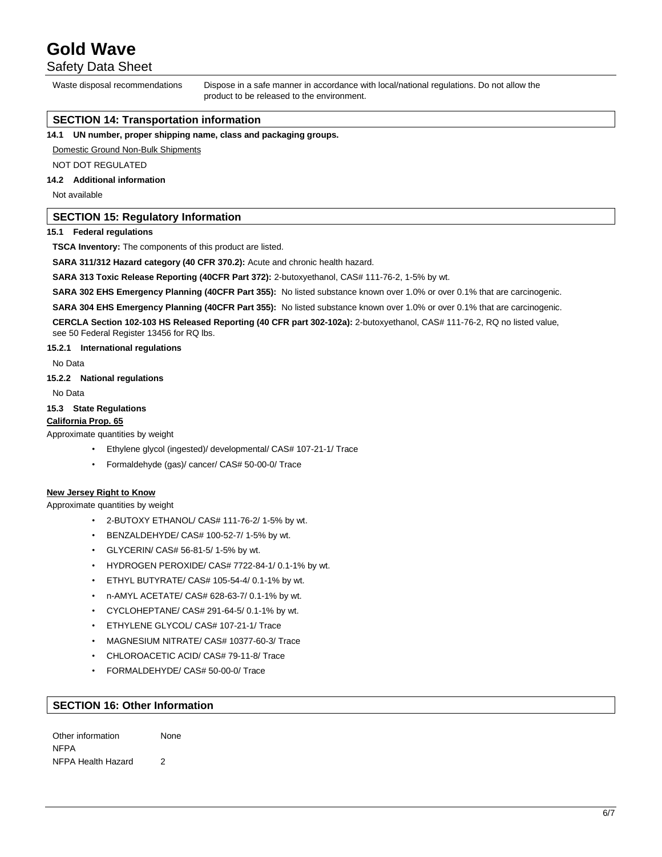Safety Data Sheet

Waste disposal recommendations Dispose in a safe manner in accordance with local/national regulations. Do not allow the product to be released to the environment.

## **SECTION 14: Transportation information**

**14.1 UN number, proper shipping name, class and packaging groups.**

Domestic Ground Non-Bulk Shipments

NOT DOT REGULATED

## **14.2 Additional information**

Not available

## **SECTION 15: Regulatory Information**

### **15.1 Federal regulations**

**TSCA Inventory:** The components of this product are listed.

**SARA 311/312 Hazard category (40 CFR 370.2):** Acute and chronic health hazard.

**SARA 313 Toxic Release Reporting (40CFR Part 372):** 2-butoxyethanol, CAS# 111-76-2, 1-5% by wt.

**SARA 302 EHS Emergency Planning (40CFR Part 355):** No listed substance known over 1.0% or over 0.1% that are carcinogenic.

**SARA 304 EHS Emergency Planning (40CFR Part 355):** No listed substance known over 1.0% or over 0.1% that are carcinogenic.

**CERCLA Section 102-103 HS Released Reporting (40 CFR part 302-102a):** 2-butoxyethanol, CAS# 111-76-2, RQ no listed value, see 50 Federal Register 13456 for RQ lbs.

### **15.2.1 International regulations**

No Data

### **15.2.2 National regulations**

No Data

### **15.3 State Regulations**

## **California Prop. 65**

Approximate quantities by weight

- Ethylene glycol (ingested)/ developmental/ CAS# 107-21-1/ Trace
- Formaldehyde (gas)/ cancer/ CAS# 50-00-0/ Trace

### **New Jersey Right to Know**

Approximate quantities by weight

- 2-BUTOXY ETHANOL/ CAS# 111-76-2/ 1-5% by wt.
- BENZALDEHYDE/ CAS# 100-52-7/ 1-5% by wt.
- GLYCERIN/ CAS# 56-81-5/ 1-5% by wt.
- HYDROGEN PEROXIDE/ CAS# 7722-84-1/ 0.1-1% by wt.
- ETHYL BUTYRATE/ CAS# 105-54-4/ 0.1-1% by wt.
- n-AMYL ACETATE/ CAS# 628-63-7/ 0.1-1% by wt.
- CYCLOHEPTANE/ CAS# 291-64-5/ 0.1-1% by wt.
- ETHYLENE GLYCOL/ CAS# 107-21-1/ Trace
- MAGNESIUM NITRATE/ CAS# 10377-60-3/ Trace
- CHLOROACETIC ACID/ CAS# 79-11-8/ Trace
- FORMALDEHYDE/ CAS# 50-00-0/ Trace

## **SECTION 16: Other Information**

Other information None NFPA NFPA Health Hazard 2